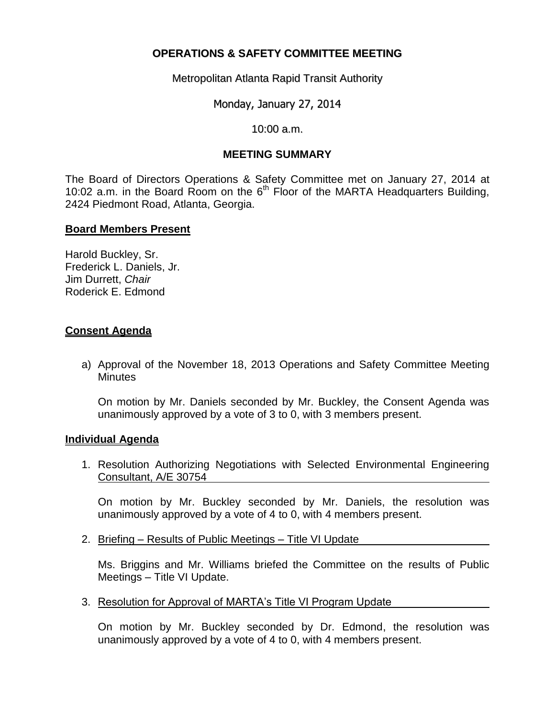## **OPERATIONS & SAFETY COMMITTEE MEETING**

Metropolitan Atlanta Rapid Transit Authority

Monday, January 27, 2014

10:00 a.m.

## **MEETING SUMMARY**

The Board of Directors Operations & Safety Committee met on January 27, 2014 at 10:02 a.m. in the Board Room on the  $6<sup>th</sup>$  Floor of the MARTA Headquarters Building, 2424 Piedmont Road, Atlanta, Georgia.

#### **Board Members Present**

Harold Buckley, Sr. Frederick L. Daniels, Jr. Jim Durrett, *Chair*  Roderick E. Edmond

## **Consent Agenda**

a) Approval of the November 18, 2013 Operations and Safety Committee Meeting **Minutes** 

On motion by Mr. Daniels seconded by Mr. Buckley, the Consent Agenda was unanimously approved by a vote of 3 to 0, with 3 members present.

#### **Individual Agenda**

1. Resolution Authorizing Negotiations with Selected Environmental Engineering Consultant, A/E 30754

On motion by Mr. Buckley seconded by Mr. Daniels, the resolution was unanimously approved by a vote of 4 to 0, with 4 members present.

2. Briefing – Results of Public Meetings – Title VI Update

Ms. Briggins and Mr. Williams briefed the Committee on the results of Public Meetings – Title VI Update.

3. Resolution for Approval of MARTA's Title VI Program Update

On motion by Mr. Buckley seconded by Dr. Edmond, the resolution was unanimously approved by a vote of 4 to 0, with 4 members present.